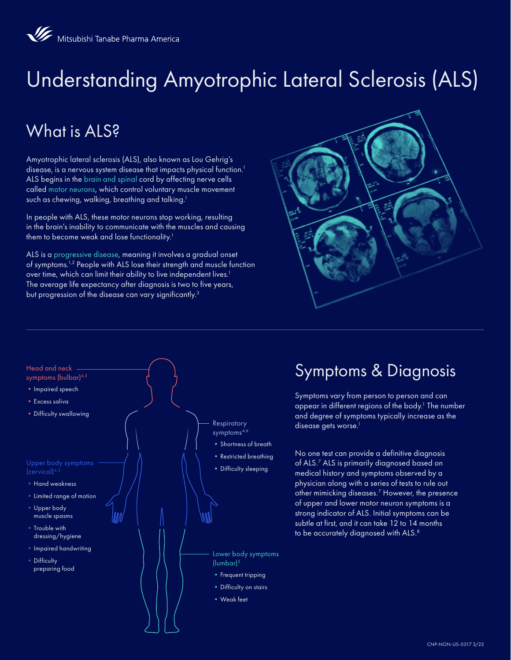# Understanding Amyotrophic Lateral Sclerosis (ALS)

# What is ALS<sub>2</sub>

Amyotrophic lateral sclerosis (ALS), also known as Lou Gehrig's disease, is a nervous system disease that impacts physical function.<sup>1</sup> ALS begins in the brain and spinal cord by affecting nerve cells called motor neurons, which control voluntary muscle movement such as chewing, walking, breathing and talking.<sup>1</sup>

In people with ALS, these motor neurons stop working, resulting in the brain's inability to communicate with the muscles and causing them to become weak and lose functionality.<sup>1</sup>

ALS is a progressive disease, meaning it involves a gradual onset of symptoms.1,2 People with ALS lose their strength and muscle function over time, which can limit their ability to live independent lives.<sup>1</sup> The average life expectancy after diagnosis is two to five years, but progression of the disease can vary significantly.<sup>3</sup>





#### Symptoms & Diagnosis

Symptoms vary from person to person and can appear in different regions of the body. $^1$  The number and degree of symptoms typically increase as the disease gets worse.<sup>1</sup>

No one test can provide a definitive diagnosis of ALS.7 ALS is primarily diagnosed based on medical history and symptoms observed by a physician along with a series of tests to rule out other mimicking diseases.7 However, the presence of upper and lower motor neuron symptoms is a strong indicator of ALS. Initial symptoms can be subtle at first, and it can take 12 to 14 months to be accurately diagnosed with ALS.<sup>8</sup>